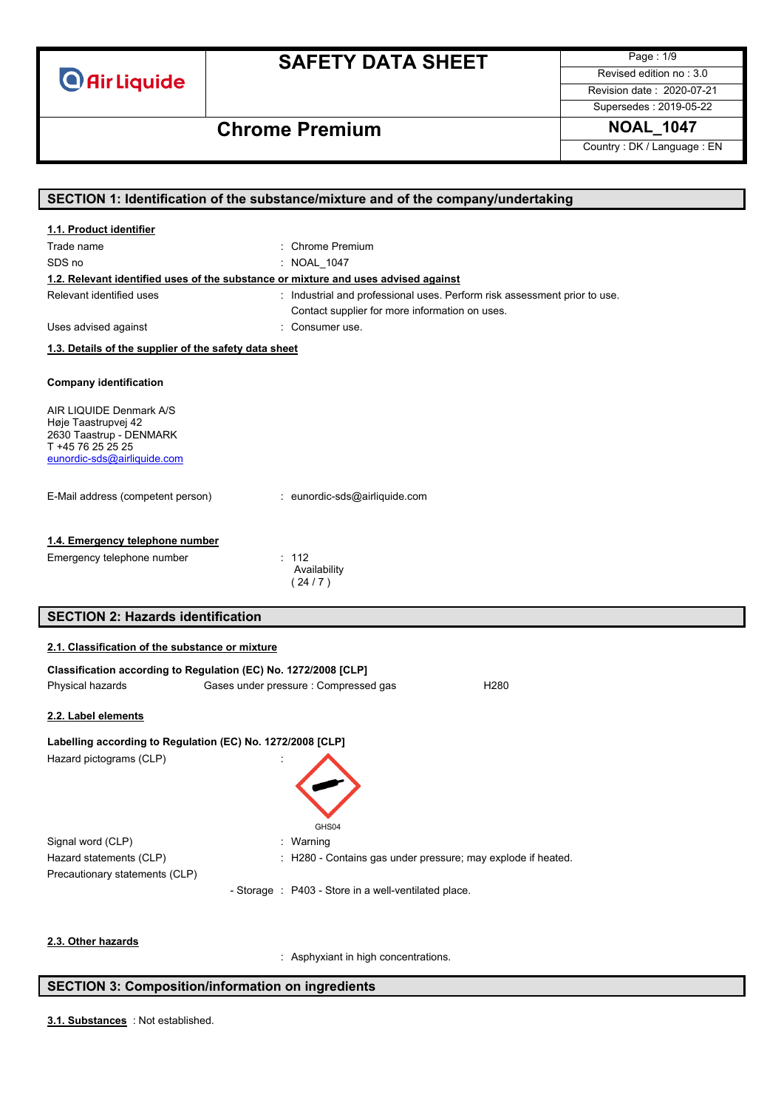

Page : 1/9 Revised edition no : 3.0 Revision date : 2020-07-21

Supersedes : 2019-05-22

# **Chrome Premium NOAL\_1047**

Country : DK / Language : EN

| SECTION 1: Identification of the substance/mixture and of the company/undertaking |                                                                                    |  |
|-----------------------------------------------------------------------------------|------------------------------------------------------------------------------------|--|
| 1.1. Product identifier                                                           |                                                                                    |  |
| Trade name                                                                        | : Chrome Premium                                                                   |  |
| SDS no                                                                            | : NOAL 1047                                                                        |  |
|                                                                                   | 1.2. Relevant identified uses of the substance or mixture and uses advised against |  |
| Relevant identified uses                                                          | : Industrial and professional uses. Perform risk assessment prior to use.          |  |
|                                                                                   | Contact supplier for more information on uses.                                     |  |
| Uses advised against                                                              | : Consumer use.                                                                    |  |
| 1.3. Details of the supplier of the safety data sheet                             |                                                                                    |  |
|                                                                                   |                                                                                    |  |
| <b>Company identification</b>                                                     |                                                                                    |  |
| AIR LIQUIDE Denmark A/S                                                           |                                                                                    |  |
| Høje Taastrupvej 42                                                               |                                                                                    |  |
| 2630 Taastrup - DENMARK<br>T +45 76 25 25 25                                      |                                                                                    |  |
| eunordic-sds@airliquide.com                                                       |                                                                                    |  |
|                                                                                   |                                                                                    |  |
| E-Mail address (competent person)                                                 | : eunordic-sds@airliquide.com                                                      |  |
|                                                                                   |                                                                                    |  |
|                                                                                   |                                                                                    |  |
| 1.4. Emergency telephone number                                                   |                                                                                    |  |
| Emergency telephone number                                                        | : 112<br>Availability                                                              |  |
|                                                                                   | (24/7)                                                                             |  |
|                                                                                   |                                                                                    |  |
| <b>SECTION 2: Hazards identification</b>                                          |                                                                                    |  |
| 2.1. Classification of the substance or mixture                                   |                                                                                    |  |
|                                                                                   |                                                                                    |  |
| Classification according to Regulation (EC) No. 1272/2008 [CLP]                   |                                                                                    |  |
| Physical hazards                                                                  | Gases under pressure : Compressed gas<br>H <sub>280</sub>                          |  |
| 2.2. Label elements                                                               |                                                                                    |  |
| Labelling according to Regulation (EC) No. 1272/2008 [CLP]                        |                                                                                    |  |
|                                                                                   |                                                                                    |  |
| Hazard pictograms (CLP)                                                           |                                                                                    |  |
|                                                                                   |                                                                                    |  |
|                                                                                   |                                                                                    |  |
|                                                                                   | GHS04                                                                              |  |
| Signal word (CLP)                                                                 | : Warning                                                                          |  |
| Hazard statements (CLP)                                                           | : H280 - Contains gas under pressure; may explode if heated.                       |  |
| Precautionary statements (CLP)                                                    |                                                                                    |  |
|                                                                                   | - Storage : P403 - Store in a well-ventilated place.                               |  |
|                                                                                   |                                                                                    |  |
|                                                                                   |                                                                                    |  |
| 2.3. Other hazards                                                                |                                                                                    |  |
|                                                                                   | : Asphyxiant in high concentrations.                                               |  |

### **SECTION 3: Composition/information on ingredients**

: Not established. **3.1. Substances**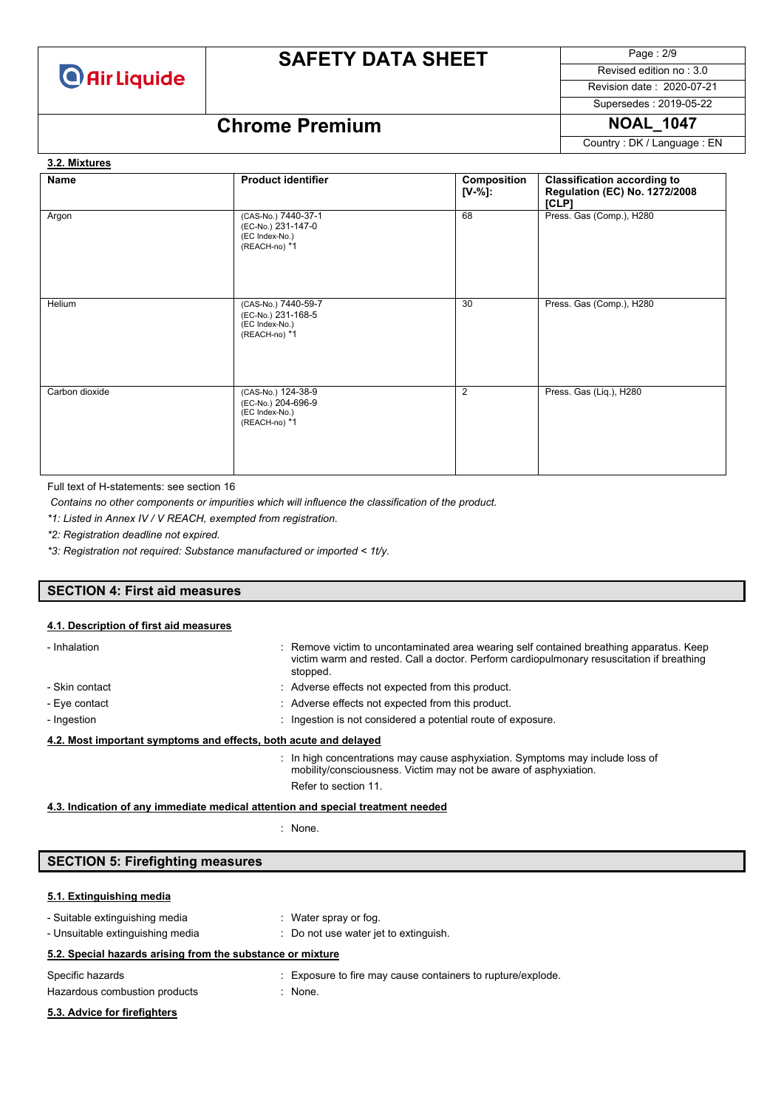

Page : 2/9 Revised edition no : 3.0

Revision date : 2020-07-21 Supersedes : 2019-05-22

## **Chrome Premium NOAL\_1047**

Country : DK / Language : EN

### **Name Product identifier Product identifier Composition [V-%]: Classification according to Regulation (EC) No. 1272/2008 [CLP]** Argon (CAS-No.) 7440-37-1 (EC-No.) 231-147-0 (EC Index-No.) (REACH-no) \*1 68 Press. Gas (Comp.), H280 Helium (CAS-No.) 7440-59-7 (EC-No.) 231-168-5 (EC Index-No.) (REACH-no) \*1 30 Press. Gas (Comp.), H280 Carbon dioxide (CAS-No.) 124-38-9 (EC-No.) 204-696-9 (EC Index-No.) (REACH-no) \*1 2 Press. Gas (Liq.), H280 **3.2. Mixtures**

Full text of H-statements: see section 16

*Contains no other components or impurities which will influence the classification of the product.*

*\*1: Listed in Annex IV / V REACH, exempted from registration.*

*\*2: Registration deadline not expired.*

*\*3: Registration not required: Substance manufactured or imported < 1t/y.*

#### **SECTION 4: First aid measures**

#### **4.1. Description of first aid measures**

| - Inhalation                                                     |  | : Remove victim to uncontaminated area wearing self contained breathing apparatus. Keep<br>victim warm and rested. Call a doctor. Perform cardiopulmonary resuscitation if breathing<br>stopped. |
|------------------------------------------------------------------|--|--------------------------------------------------------------------------------------------------------------------------------------------------------------------------------------------------|
| - Skin contact                                                   |  | : Adverse effects not expected from this product.                                                                                                                                                |
| - Eye contact                                                    |  | : Adverse effects not expected from this product.                                                                                                                                                |
| - Ingestion                                                      |  | : Ingestion is not considered a potential route of exposure.                                                                                                                                     |
| 4.2. Most important symptoms and effects, both acute and delayed |  |                                                                                                                                                                                                  |
|                                                                  |  | : In high concentrations may cause asphyxiation. Symptoms may include loss of<br>mobility/consciousness. Victim may not be aware of asphyxiation.<br>Refer to section 11.                        |

**4.3. Indication of any immediate medical attention and special treatment needed**

: None.

#### **SECTION 5: Firefighting measures**

#### **5.1. Extinguishing media**

| - Suitable extinguishing media<br>- Unsuitable extinguishing media | : Water spray or fog.<br>: Do not use water jet to extinguish. |
|--------------------------------------------------------------------|----------------------------------------------------------------|
| 5.2. Special hazards arising from the substance or mixture         |                                                                |
| Specific hazards                                                   | : Exposure to fire may cause containers to rupture/explode.    |
| Hazardous combustion products                                      | : None.                                                        |
| 5.3. Advice for firefighters                                       |                                                                |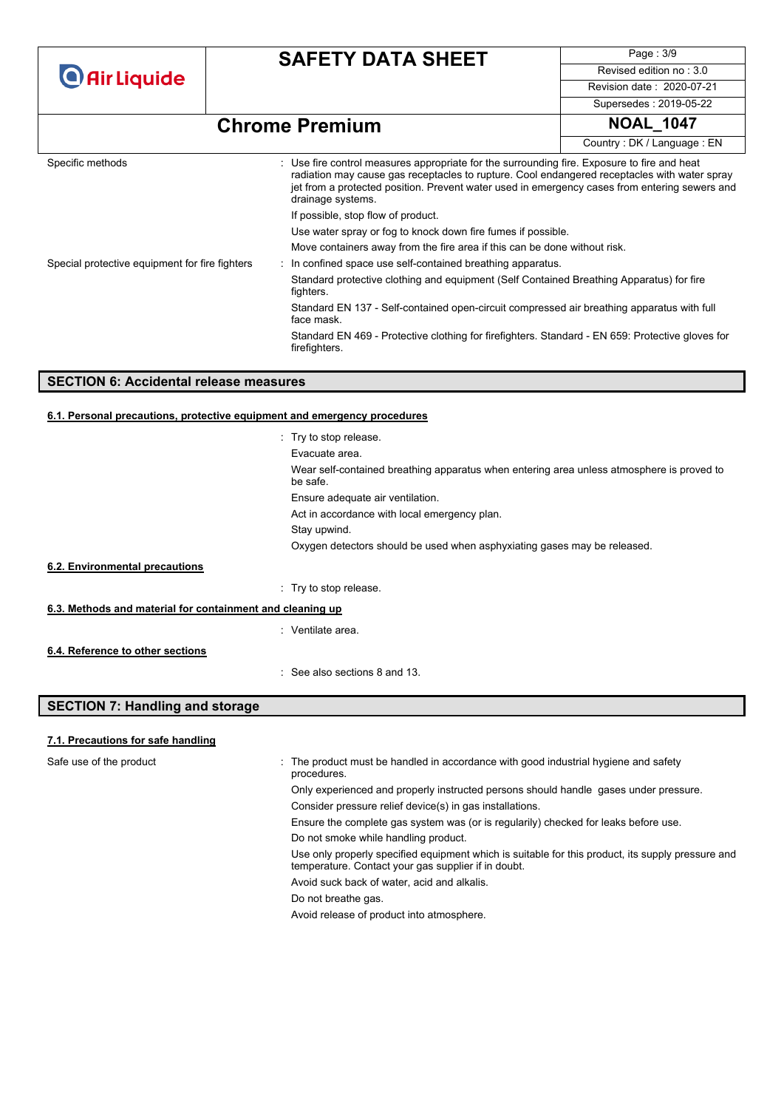| <b>O</b> Air Liquide |
|----------------------|
|----------------------|

Page : 3/9 Revised edition no : 3.0 Revision date : 2020-07-21 Supersedes : 2019-05-22

# **Chrome Premium NOAL\_1047**

|                                                |                                                                                                                                                                                                                                                                                                                   | Country: DK / Language: EN |
|------------------------------------------------|-------------------------------------------------------------------------------------------------------------------------------------------------------------------------------------------------------------------------------------------------------------------------------------------------------------------|----------------------------|
| Specific methods                               | : Use fire control measures appropriate for the surrounding fire. Exposure to fire and heat<br>radiation may cause gas receptacles to rupture. Cool endangered receptacles with water spray<br>jet from a protected position. Prevent water used in emergency cases from entering sewers and<br>drainage systems. |                            |
|                                                | If possible, stop flow of product.                                                                                                                                                                                                                                                                                |                            |
|                                                | Use water spray or fog to knock down fire fumes if possible.                                                                                                                                                                                                                                                      |                            |
|                                                | Move containers away from the fire area if this can be done without risk.                                                                                                                                                                                                                                         |                            |
| Special protective equipment for fire fighters | In confined space use self-contained breathing apparatus.                                                                                                                                                                                                                                                         |                            |
|                                                | Standard protective clothing and equipment (Self Contained Breathing Apparatus) for fire<br>fighters.                                                                                                                                                                                                             |                            |
|                                                | Standard EN 137 - Self-contained open-circuit compressed air breathing apparatus with full<br>face mask.                                                                                                                                                                                                          |                            |
|                                                | Standard EN 469 - Protective clothing for firefighters. Standard - EN 659: Protective gloves for<br>firefighters.                                                                                                                                                                                                 |                            |

#### **SECTION 6: Accidental release measures**

#### **6.1. Personal precautions, protective equipment and emergency procedures**

|                                                           | : Try to stop release                                                                                 |
|-----------------------------------------------------------|-------------------------------------------------------------------------------------------------------|
|                                                           | Evacuate area.                                                                                        |
|                                                           | Wear self-contained breathing apparatus when entering area unless atmosphere is proved to<br>be safe. |
|                                                           | Ensure adequate air ventilation.                                                                      |
|                                                           | Act in accordance with local emergency plan.                                                          |
|                                                           | Stay upwind.                                                                                          |
|                                                           | Oxygen detectors should be used when asphyxiating gases may be released.                              |
| 6.2. Environmental precautions                            |                                                                                                       |
|                                                           | : Try to stop release                                                                                 |
| 6.3. Methods and material for containment and cleaning up |                                                                                                       |
|                                                           | : Ventilate area.                                                                                     |
| 6.4. Reference to other sections                          |                                                                                                       |
|                                                           | $\therefore$ See also sections 8 and 13.                                                              |

### **SECTION 7: Handling and storage**

#### **7.1. Precautions for safe handling**

| Safe use of the product | : The product must be handled in accordance with good industrial hygiene and safety<br>procedures.                                                       |
|-------------------------|----------------------------------------------------------------------------------------------------------------------------------------------------------|
|                         | Only experienced and properly instructed persons should handle gases under pressure.                                                                     |
|                         | Consider pressure relief device(s) in gas installations.                                                                                                 |
|                         | Ensure the complete gas system was (or is regularily) checked for leaks before use.                                                                      |
|                         | Do not smoke while handling product.                                                                                                                     |
|                         | Use only properly specified equipment which is suitable for this product, its supply pressure and<br>temperature. Contact your gas supplier if in doubt. |
|                         | Avoid suck back of water, acid and alkalis.                                                                                                              |
|                         | Do not breathe gas.                                                                                                                                      |
|                         | Avoid release of product into atmosphere.                                                                                                                |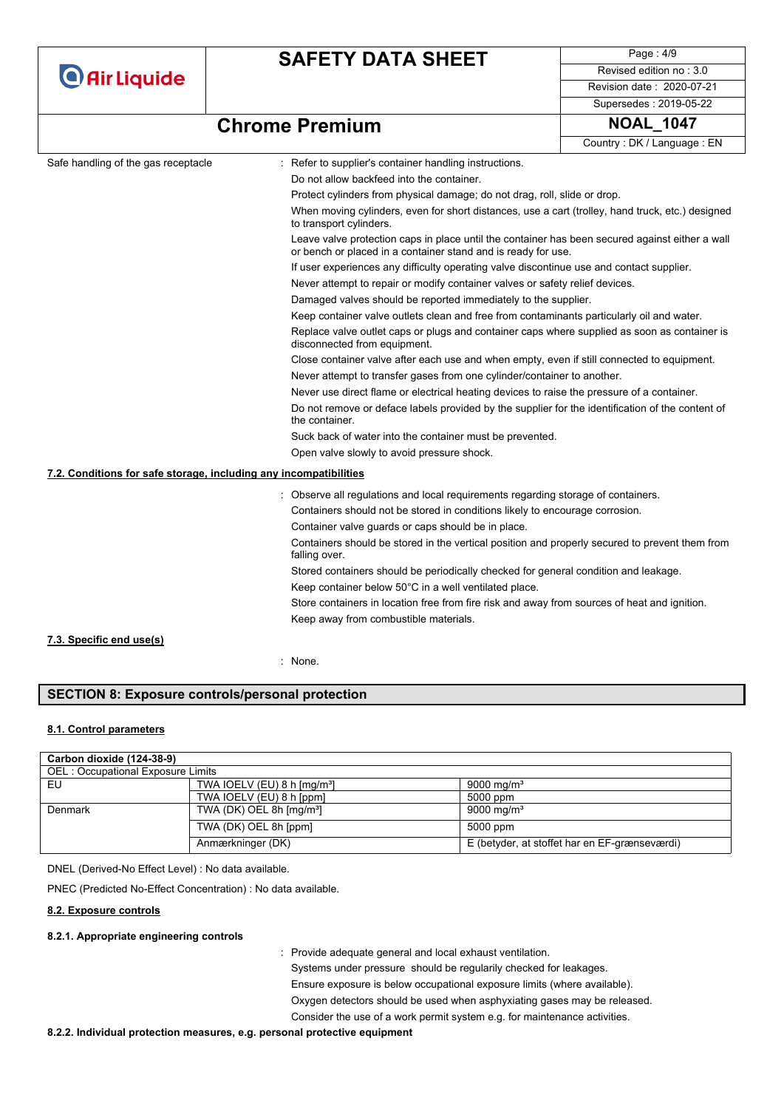**O** Air Liquide

## **SAFETY DATA SHEET**

Page : 4/9 Revised edition no : 3.0 Revision date : 2020-07-21

#### Supersedes : 2019-05-22

### **Chrome Premium NOAL\_1047**

| Safe handling of the gas receptacle<br>: Refer to supplier's container handling instructions.<br>Do not allow backfeed into the container.                       |  |
|------------------------------------------------------------------------------------------------------------------------------------------------------------------|--|
|                                                                                                                                                                  |  |
|                                                                                                                                                                  |  |
| Protect cylinders from physical damage; do not drag, roll, slide or drop.                                                                                        |  |
| When moving cylinders, even for short distances, use a cart (trolley, hand truck, etc.) designed<br>to transport cylinders.                                      |  |
| Leave valve protection caps in place until the container has been secured against either a wall<br>or bench or placed in a container stand and is ready for use. |  |
| If user experiences any difficulty operating valve discontinue use and contact supplier.                                                                         |  |
| Never attempt to repair or modify container valves or safety relief devices.                                                                                     |  |
| Damaged valves should be reported immediately to the supplier.                                                                                                   |  |
| Keep container valve outlets clean and free from contaminants particularly oil and water.                                                                        |  |
| Replace valve outlet caps or plugs and container caps where supplied as soon as container is<br>disconnected from equipment.                                     |  |
| Close container valve after each use and when empty, even if still connected to equipment.                                                                       |  |
| Never attempt to transfer gases from one cylinder/container to another.                                                                                          |  |
| Never use direct flame or electrical heating devices to raise the pressure of a container.                                                                       |  |
| Do not remove or deface labels provided by the supplier for the identification of the content of<br>the container.                                               |  |
| Suck back of water into the container must be prevented.                                                                                                         |  |
| Open valve slowly to avoid pressure shock.                                                                                                                       |  |
| 7.2. Conditions for safe storage, including any incompatibilities                                                                                                |  |
| Observe all regulations and local requirements regarding storage of containers.                                                                                  |  |
| Containers should not be stored in conditions likely to encourage corrosion.                                                                                     |  |
| Container valve guards or caps should be in place.                                                                                                               |  |
| Containers should be stored in the vertical position and properly secured to prevent them from<br>falling over.                                                  |  |
| Stored containers should be periodically checked for general condition and leakage.                                                                              |  |
| Keep container below 50°C in a well ventilated place.                                                                                                            |  |
| Store containers in location free from fire risk and away from sources of heat and ignition.                                                                     |  |
| Keep away from combustible materials.                                                                                                                            |  |
| 7.3. Specific end use(s)                                                                                                                                         |  |
| : None.                                                                                                                                                          |  |

### **SECTION 8: Exposure controls/personal protection**

#### **8.1. Control parameters**

| Carbon dioxide (124-38-9)         |                                          |                                               |  |
|-----------------------------------|------------------------------------------|-----------------------------------------------|--|
| OEL: Occupational Exposure Limits |                                          |                                               |  |
| EU                                | TWA IOELV (EU) 8 h [mg/m <sup>3</sup> ]  | 9000 mg/m <sup>3</sup>                        |  |
|                                   | TWA IOELV (EU) 8 h [ppm]                 | 5000 ppm                                      |  |
| Denmark                           | TWA (DK) OEL 8h $\text{[mq/m}^3\text{]}$ | 9000 mg/m <sup>3</sup>                        |  |
|                                   | TWA (DK) OEL 8h [ppm]                    | 5000 ppm                                      |  |
|                                   | Anmærkninger (DK)                        | E (betyder, at stoffet har en EF-grænseværdi) |  |

DNEL (Derived-No Effect Level) : No data available.

PNEC (Predicted No-Effect Concentration) : No data available.

#### **8.2. Exposure controls**

#### **8.2.1. Appropriate engineering controls**

: Provide adequate general and local exhaust ventilation.

Systems under pressure should be regularily checked for leakages. Ensure exposure is below occupational exposure limits (where available). Oxygen detectors should be used when asphyxiating gases may be released. Consider the use of a work permit system e.g. for maintenance activities.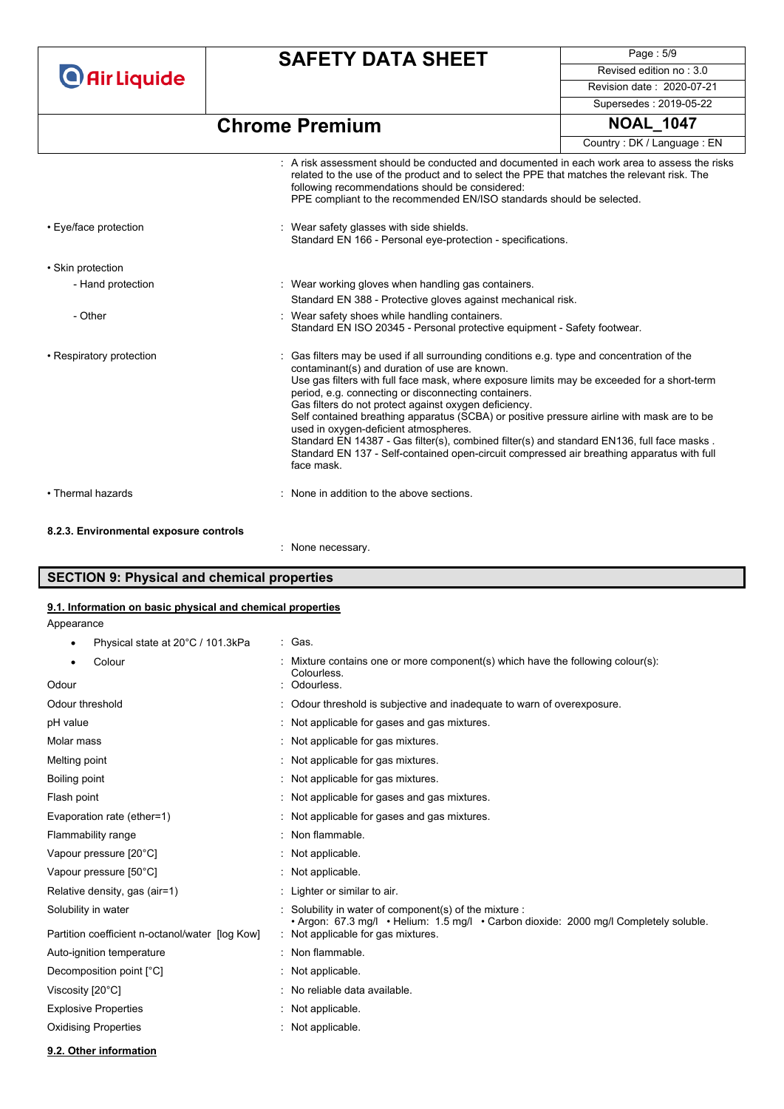**O** Air Liquide

## **SAFETY DATA SHEET**

Page : 5/9 Revised edition no : 3.0 Revision date : 2020-07-21 Supersedes : 2019-05-22

**Chrome Premium** 

| <b>NOAL 1047</b>           |
|----------------------------|
| Country: DK / Language: EN |

|                                        | $\pm$ A risk assessment should be conducted and documented in each work area to assess the risks<br>related to the use of the product and to select the PPE that matches the relevant risk. The<br>following recommendations should be considered:<br>PPE compliant to the recommended EN/ISO standards should be selected.                                                                                                                                                                                                                                                                                                                                                                                |
|----------------------------------------|------------------------------------------------------------------------------------------------------------------------------------------------------------------------------------------------------------------------------------------------------------------------------------------------------------------------------------------------------------------------------------------------------------------------------------------------------------------------------------------------------------------------------------------------------------------------------------------------------------------------------------------------------------------------------------------------------------|
| • Eye/face protection                  | : Wear safety glasses with side shields.<br>Standard EN 166 - Personal eye-protection - specifications.                                                                                                                                                                                                                                                                                                                                                                                                                                                                                                                                                                                                    |
| · Skin protection                      |                                                                                                                                                                                                                                                                                                                                                                                                                                                                                                                                                                                                                                                                                                            |
| - Hand protection                      | : Wear working gloves when handling gas containers.                                                                                                                                                                                                                                                                                                                                                                                                                                                                                                                                                                                                                                                        |
|                                        | Standard EN 388 - Protective gloves against mechanical risk.                                                                                                                                                                                                                                                                                                                                                                                                                                                                                                                                                                                                                                               |
| - Other                                | : Wear safety shoes while handling containers.<br>Standard EN ISO 20345 - Personal protective equipment - Safety footwear.                                                                                                                                                                                                                                                                                                                                                                                                                                                                                                                                                                                 |
| • Respiratory protection               | Gas filters may be used if all surrounding conditions e.g. type and concentration of the<br>contaminant(s) and duration of use are known.<br>Use gas filters with full face mask, where exposure limits may be exceeded for a short-term<br>period, e.g. connecting or disconnecting containers.<br>Gas filters do not protect against oxygen deficiency.<br>Self contained breathing apparatus (SCBA) or positive pressure airline with mask are to be<br>used in oxygen-deficient atmospheres.<br>Standard EN 14387 - Gas filter(s), combined filter(s) and standard EN136, full face masks.<br>Standard EN 137 - Self-contained open-circuit compressed air breathing apparatus with full<br>face mask. |
| • Thermal hazards                      | : None in addition to the above sections.                                                                                                                                                                                                                                                                                                                                                                                                                                                                                                                                                                                                                                                                  |
| 8.2.3. Environmental exposure controls |                                                                                                                                                                                                                                                                                                                                                                                                                                                                                                                                                                                                                                                                                                            |
|                                        | None necessary.                                                                                                                                                                                                                                                                                                                                                                                                                                                                                                                                                                                                                                                                                            |

### **SECTION 9: Physical and chemical properties**

#### **9.1. Information on basic physical and chemical properties**

Appearance

• Physical state at 20°C / 101.3kPa : Gas.

| Mixture contains one or more component(s) which have the following colour(s):<br>Colourless.                                |
|-----------------------------------------------------------------------------------------------------------------------------|
| Odourless.                                                                                                                  |
| Odour threshold is subjective and inadequate to warn of overexposure.                                                       |
| Not applicable for gases and gas mixtures.                                                                                  |
| Not applicable for gas mixtures.                                                                                            |
| : Not applicable for gas mixtures.                                                                                          |
| Not applicable for gas mixtures.                                                                                            |
| Not applicable for gases and gas mixtures.                                                                                  |
| Not applicable for gases and gas mixtures.                                                                                  |
| Non flammable.                                                                                                              |
| : Not applicable.                                                                                                           |
| : Not applicable.                                                                                                           |
| : Lighter or similar to air.                                                                                                |
| Solubility in water of component(s) of the mixture :                                                                        |
| • Argon: 67.3 mg/l • Helium: 1.5 mg/l • Carbon dioxide: 2000 mg/l Completely soluble.<br>: Not applicable for gas mixtures. |
| : Non flammable.                                                                                                            |
| Not applicable.                                                                                                             |
| No reliable data available.                                                                                                 |
| Not applicable.                                                                                                             |
| Not applicable.                                                                                                             |
|                                                                                                                             |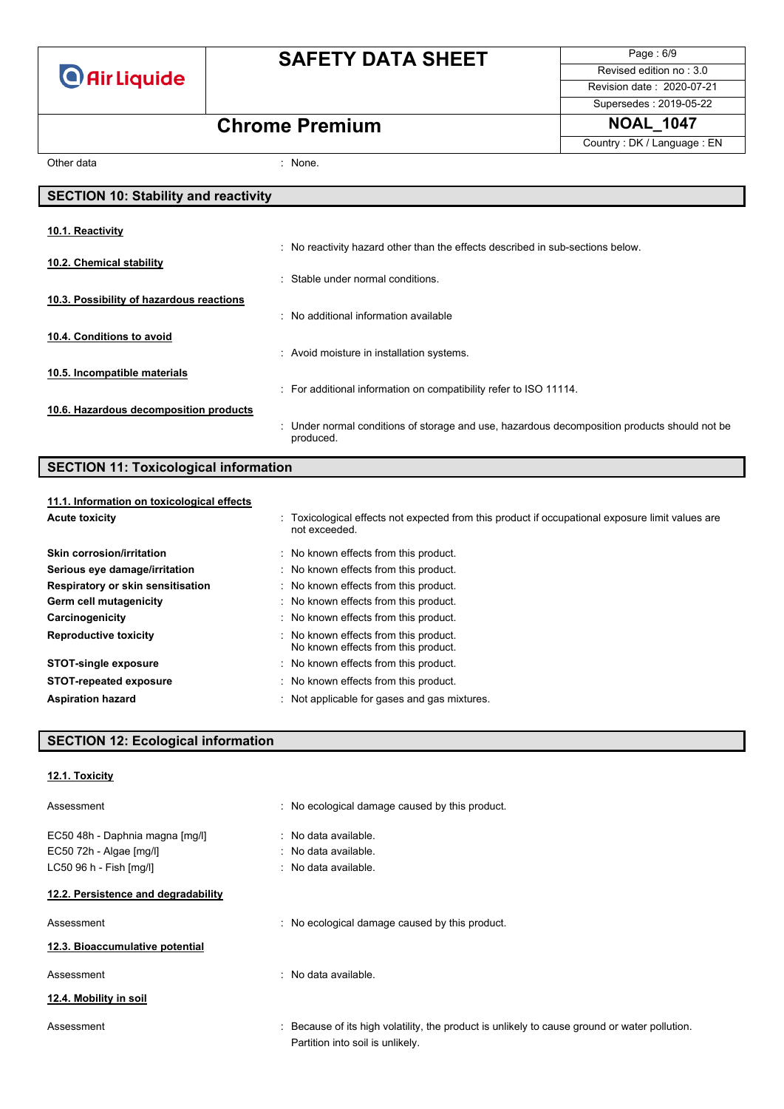

Page : 6/9 Revised edition no : 3.0 Revision date : 2020-07-21

### Supersedes : 2019-05-22

### **Chrome Premium NOAL\_1047**

Country : DK / Language : EN

٦

Other data in the set of the set of the set of the set of the set of the set of the set of the set of the set of the set of the set of the set of the set of the set of the set of the set of the set of the set of the set of

| <b>SECTION 10: Stability and reactivity</b> |                                                                                                           |  |  |
|---------------------------------------------|-----------------------------------------------------------------------------------------------------------|--|--|
|                                             |                                                                                                           |  |  |
| 10.1. Reactivity                            |                                                                                                           |  |  |
|                                             | : No reactivity hazard other than the effects described in sub-sections below.                            |  |  |
| 10.2. Chemical stability                    |                                                                                                           |  |  |
|                                             | : Stable under normal conditions.                                                                         |  |  |
| 10.3. Possibility of hazardous reactions    |                                                                                                           |  |  |
|                                             | : No additional information available                                                                     |  |  |
| 10.4. Conditions to avoid                   |                                                                                                           |  |  |
|                                             | : Avoid moisture in installation systems.                                                                 |  |  |
| 10.5. Incompatible materials                |                                                                                                           |  |  |
|                                             | : For additional information on compatibility refer to ISO 11114.                                         |  |  |
| 10.6. Hazardous decomposition products      |                                                                                                           |  |  |
|                                             | : Under normal conditions of storage and use, hazardous decomposition products should not be<br>produced. |  |  |

### **SECTION 11: Toxicological information**

| 11.1. Information on toxicological effects |                                                                                                                   |
|--------------------------------------------|-------------------------------------------------------------------------------------------------------------------|
| <b>Acute toxicity</b>                      | : Toxicological effects not expected from this product if occupational exposure limit values are<br>not exceeded. |
| <b>Skin corrosion/irritation</b>           | : No known effects from this product.                                                                             |
| Serious eye damage/irritation              | : No known effects from this product.                                                                             |
| Respiratory or skin sensitisation          | : No known effects from this product.                                                                             |
| Germ cell mutagenicity                     | : No known effects from this product.                                                                             |
| Carcinogenicity                            | : No known effects from this product.                                                                             |
| <b>Reproductive toxicity</b>               | : No known effects from this product.<br>No known effects from this product.                                      |
| <b>STOT-single exposure</b>                | : No known effects from this product.                                                                             |
| <b>STOT-repeated exposure</b>              | : No known effects from this product.                                                                             |
| <b>Aspiration hazard</b>                   | : Not applicable for gases and gas mixtures.                                                                      |

### **SECTION 12: Ecological information**

| 12.1. Toxicity |  |
|----------------|--|
|                |  |

| Assessment                                                                              | : No ecological damage caused by this product.                                                                                    |
|-----------------------------------------------------------------------------------------|-----------------------------------------------------------------------------------------------------------------------------------|
| EC50 48h - Daphnia magna [mg/l]<br>EC50 72h - Algae $[mg/l]$<br>LC50 96 h - Fish [mg/l] | $:$ No data available.<br>$:$ No data available.<br>$\therefore$ No data available.                                               |
| 12.2. Persistence and degradability                                                     |                                                                                                                                   |
| Assessment                                                                              | : No ecological damage caused by this product.                                                                                    |
| 12.3. Bioaccumulative potential                                                         |                                                                                                                                   |
| Assessment                                                                              | $\therefore$ No data available.                                                                                                   |
| 12.4. Mobility in soil                                                                  |                                                                                                                                   |
| Assessment                                                                              | : Because of its high volatility, the product is unlikely to cause ground or water pollution.<br>Partition into soil is unlikely. |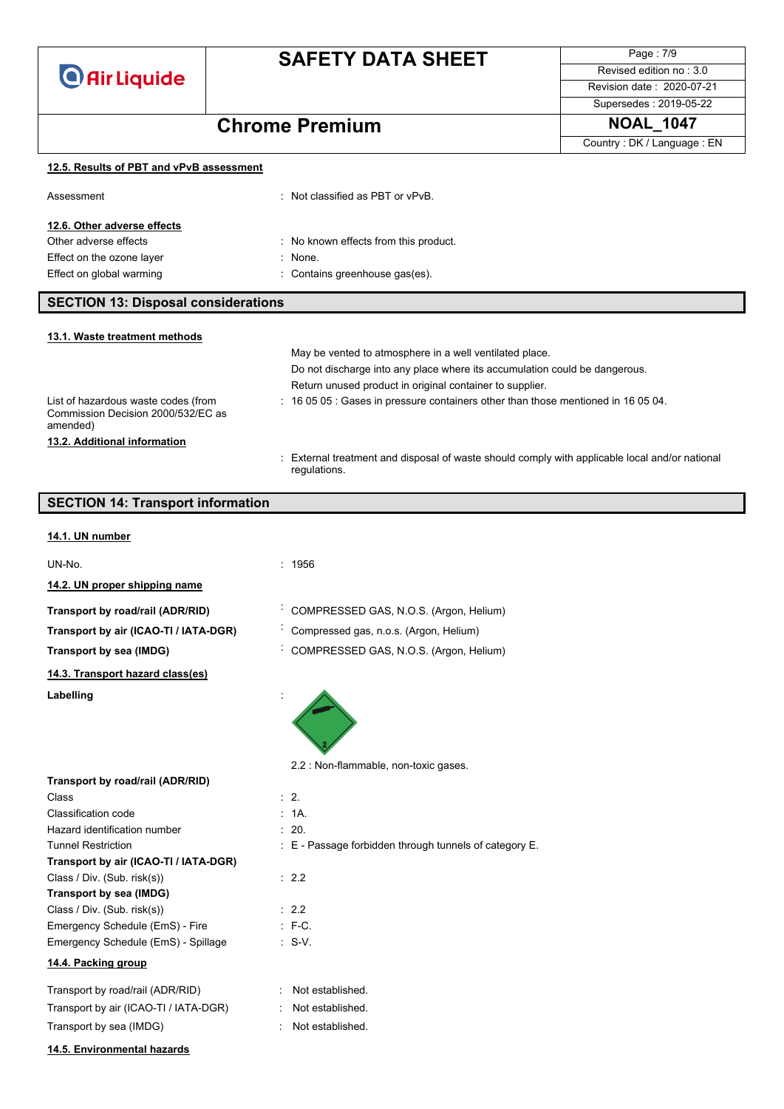

Page : 7/9 Revised edition no : 3.0 Revision date : 2020-07-21 Supersedes : 2019-05-22

Country : DK / Language : EN

# **Chrome Premium NOAL\_1047**

**12.5. Results of PBT and vPvB assessment**

| Assessment                                 | : Not classified as PBT or $vPvB$ .   |  |
|--------------------------------------------|---------------------------------------|--|
| 12.6. Other adverse effects                |                                       |  |
| Other adverse effects                      | : No known effects from this product. |  |
| Effect on the ozone layer                  | $:$ None.                             |  |
| Effect on global warming                   | : Contains greenhouse gas(es).        |  |
|                                            |                                       |  |
| <b>SECTION 13: Disposal considerations</b> |                                       |  |

| 13.1. Waste treatment methods                                                         |                                                                                                                |
|---------------------------------------------------------------------------------------|----------------------------------------------------------------------------------------------------------------|
|                                                                                       | May be vented to atmosphere in a well ventilated place.                                                        |
|                                                                                       | Do not discharge into any place where its accumulation could be dangerous.                                     |
|                                                                                       | Return unused product in original container to supplier.                                                       |
| List of hazardous waste codes (from<br>Commission Decision 2000/532/EC as<br>amended) | $\div$ 16 05 05 $\div$ Gases in pressure containers other than those mentioned in 16 05 04.                    |
| 13.2. Additional information                                                          |                                                                                                                |
|                                                                                       | : External treatment and disposal of waste should comply with applicable local and/or national<br>regulations. |

### **SECTION 14: Transport information**

#### **14.1. UN number**

| UN-No.                                | : 1956                                                 |
|---------------------------------------|--------------------------------------------------------|
| 14.2. UN proper shipping name         |                                                        |
| Transport by road/rail (ADR/RID)      | COMPRESSED GAS, N.O.S. (Argon, Helium)                 |
| Transport by air (ICAO-TI / IATA-DGR) | Compressed gas, n.o.s. (Argon, Helium)                 |
| Transport by sea (IMDG)               | COMPRESSED GAS, N.O.S. (Argon, Helium)                 |
| 14.3. Transport hazard class(es)      |                                                        |
| Labelling                             |                                                        |
|                                       | 2.2 : Non-flammable, non-toxic gases.                  |
| Transport by road/rail (ADR/RID)      | $\therefore$ 2.                                        |
| Class                                 | : 1A                                                   |
| Classification code                   |                                                        |
| Hazard identification number          | : 20.                                                  |
| <b>Tunnel Restriction</b>             | : E - Passage forbidden through tunnels of category E. |
| Transport by air (ICAO-TI / IATA-DGR) |                                                        |
| Class / Div. (Sub. risk(s))           | $\therefore$ 2.2                                       |
| Transport by sea (IMDG)               | : 2.2                                                  |
| Class / Div. (Sub. risk(s))           | $: F-C.$                                               |
| Emergency Schedule (EmS) - Fire       | $\therefore$ S-V.                                      |
| Emergency Schedule (EmS) - Spillage   |                                                        |
| 14.4. Packing group                   |                                                        |
| Transport by road/rail (ADR/RID)      | Not established.                                       |
| Transport by air (ICAO-TI / IATA-DGR) | Not established.                                       |
| Transport by sea (IMDG)               | Not established.                                       |
| 14.5. Environmental hazards           |                                                        |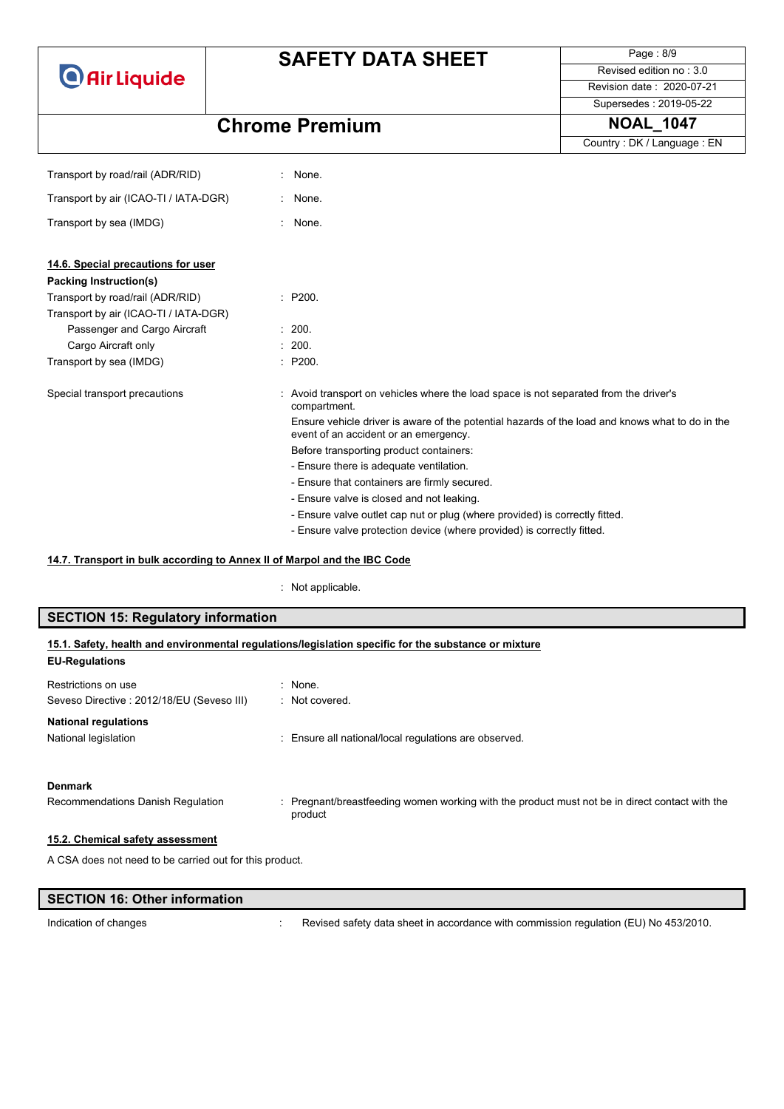**O** Air Liquide

# **SAFETY DATA SHEET**

Page : 8/9 Revised edition no : 3.0 Revision date : 2020-07-21

Supersedes : 2019-05-22

Country : DK / Language : EN

## **Chrome Premium NOAL\_1047**

| Transport by road/rail (ADR/RID)      | None.                                                                                                                                    |
|---------------------------------------|------------------------------------------------------------------------------------------------------------------------------------------|
|                                       |                                                                                                                                          |
| Transport by air (ICAO-TI / IATA-DGR) | : None.                                                                                                                                  |
| Transport by sea (IMDG)               | : None.                                                                                                                                  |
| 14.6. Special precautions for user    |                                                                                                                                          |
| Packing Instruction(s)                |                                                                                                                                          |
| Transport by road/rail (ADR/RID)      | : P200.                                                                                                                                  |
| Transport by air (ICAO-TI / IATA-DGR) |                                                                                                                                          |
| Passenger and Cargo Aircraft          | : 200.                                                                                                                                   |
| Cargo Aircraft only                   | : 200.                                                                                                                                   |
| Transport by sea (IMDG)               | : P200.                                                                                                                                  |
| Special transport precautions         | : Avoid transport on vehicles where the load space is not separated from the driver's<br>compartment.                                    |
|                                       | Ensure vehicle driver is aware of the potential hazards of the load and knows what to do in the<br>event of an accident or an emergency. |
|                                       | Before transporting product containers:                                                                                                  |
|                                       | - Ensure there is adequate ventilation.                                                                                                  |
|                                       | - Ensure that containers are firmly secured.                                                                                             |
|                                       | - Ensure valve is closed and not leaking.                                                                                                |
|                                       | - Ensure valve outlet cap nut or plug (where provided) is correctly fitted.                                                              |
|                                       | - Ensure valve protection device (where provided) is correctly fitted.                                                                   |

#### **14.7. Transport in bulk according to Annex II of Marpol and the IBC Code**

: Not applicable.

| <b>SECTION 15: Regulatory information</b>                                                                                     |                                                     |  |  |  |
|-------------------------------------------------------------------------------------------------------------------------------|-----------------------------------------------------|--|--|--|
| 15.1. Safety, health and environmental regulations/legislation specific for the substance or mixture<br><b>EU-Regulations</b> |                                                     |  |  |  |
| Restrictions on use<br>Seveso Directive: 2012/18/EU (Seveso III)                                                              | $:$ None.<br>: Not covered.                         |  |  |  |
| <b>National regulations</b><br>National legislation                                                                           | Ensure all national/local regulations are observed. |  |  |  |

#### **Denmark**

Recommendations Danish Regulation : Pregnant/breastfeeding women working with the product must not be in direct contact with the product

#### **15.2. Chemical safety assessment**

A CSA does not need to be carried out for this product.

| <b>SECTION 16: Other information</b> |                                                                                      |
|--------------------------------------|--------------------------------------------------------------------------------------|
| Indication of changes                | Revised safety data sheet in accordance with commission regulation (EU) No 453/2010. |